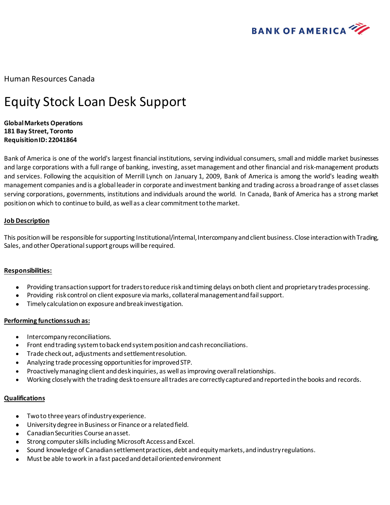

Human Resources Canada

# Equity Stock Loan Desk Support

## **Global Markets Operations 181 Bay Street, Toronto Requisition ID: 22041864**

Bank of America is one of the world's largest financial institutions, serving individual consumers, small and middle market businesses and large corporations with a full range of banking, investing, asset management and other financial and risk-management products and services. Following the acquisition of Merrill Lynch on January 1, 2009, Bank of America is among the world's leading wealth management companies and is a global leader in corporate and investment banking and trading across a broad range of asset classes serving corporations, governments, institutions and individuals around the world. In Canada, Bank of America has a strong market position on which to continue to build, as well as a clear commitment to the market.

## **Job Description**

This position will be responsible for supporting Institutional/internal, Intercompany and client business. Close interaction with Trading, Sales, and other Operational support groups will be required.

### **Responsibilities:**

- Providing transaction support for traders to reduce risk and timing delays on both client and proprietary trades processing.
- Providing risk control on client exposure via marks, collateral management and fail support.
- Timely calculation on exposure and break investigation.

### **Performing functions such as:**

- Intercompany reconciliations.
- Front end trading system to back end system position and cash reconciliations.
- Trade check out, adjustments and settlement resolution.
- Analyzing trade processing opportunities for improved STP.
- Proactively managing client and desk inquiries, as well as improving overall relationships.
- Working closely with the trading desk to ensure all trades are correctly captured and reported in the books and records.

### **Qualifications**

- Two to three years of industry experience.
- University degree in Business or Finance or a related field.
- Canadian Securities Course an asset.
- Strong computer skills including Microsoft Access and Excel.
- Sound knowledge of Canadian settlement practices, debt and equity markets, and industry regulations.
- Must be able to work in a fast paced and detail oriented environment